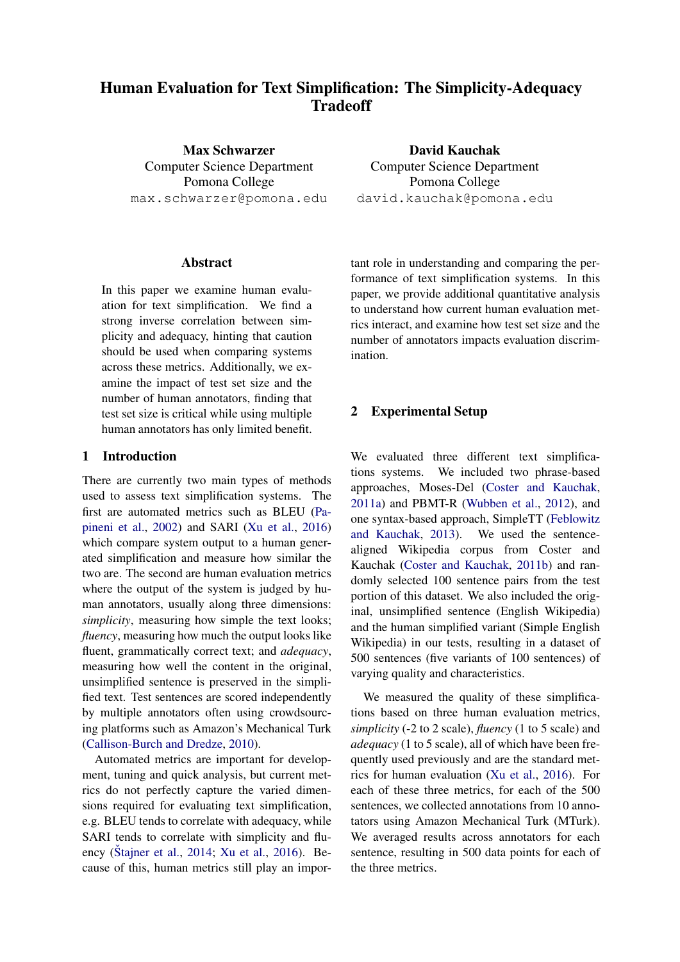# Human Evaluation for Text Simplification: The Simplicity-Adequacy **Tradeoff**

Max Schwarzer Computer Science Department Pomona College max.schwarzer@pomona.edu

Abstract

In this paper we examine human evaluation for text simplification. We find a strong inverse correlation between simplicity and adequacy, hinting that caution should be used when comparing systems across these metrics. Additionally, we examine the impact of test set size and the number of human annotators, finding that test set size is critical while using multiple human annotators has only limited benefit.

# 1 Introduction

There are currently two main types of methods used to assess text simplification systems. The first are automated metrics such as BLEU [\(Pa](#page-2-0)[pineni et al.,](#page-2-0) [2002\)](#page-2-0) and SARI [\(Xu et al.,](#page-2-1) [2016\)](#page-2-1) which compare system output to a human generated simplification and measure how similar the two are. The second are human evaluation metrics where the output of the system is judged by human annotators, usually along three dimensions: *simplicity*, measuring how simple the text looks; *fluency*, measuring how much the output looks like fluent, grammatically correct text; and *adequacy*, measuring how well the content in the original, unsimplified sentence is preserved in the simplified text. Test sentences are scored independently by multiple annotators often using crowdsourcing platforms such as Amazon's Mechanical Turk [\(Callison-Burch and Dredze,](#page-2-2) [2010\)](#page-2-2).

Automated metrics are important for development, tuning and quick analysis, but current metrics do not perfectly capture the varied dimensions required for evaluating text simplification, e.g. BLEU tends to correlate with adequacy, while SARI tends to correlate with simplicity and flu-ency (Štajner et al., [2014;](#page-2-3) [Xu et al.,](#page-2-1) [2016\)](#page-2-1). Because of this, human metrics still play an impor-

David Kauchak Computer Science Department Pomona College david.kauchak@pomona.edu

tant role in understanding and comparing the performance of text simplification systems. In this paper, we provide additional quantitative analysis to understand how current human evaluation metrics interact, and examine how test set size and the number of annotators impacts evaluation discrimination.

## 2 Experimental Setup

We evaluated three different text simplifications systems. We included two phrase-based approaches, Moses-Del [\(Coster and Kauchak,](#page-2-4) [2011a\)](#page-2-4) and PBMT-R [\(Wubben et al.,](#page-2-5) [2012\)](#page-2-5), and one syntax-based approach, SimpleTT [\(Feblowitz](#page-2-6) [and Kauchak,](#page-2-6) [2013\)](#page-2-6). We used the sentencealigned Wikipedia corpus from Coster and Kauchak [\(Coster and Kauchak,](#page-2-7) [2011b\)](#page-2-7) and randomly selected 100 sentence pairs from the test portion of this dataset. We also included the original, unsimplified sentence (English Wikipedia) and the human simplified variant (Simple English Wikipedia) in our tests, resulting in a dataset of 500 sentences (five variants of 100 sentences) of varying quality and characteristics.

We measured the quality of these simplifications based on three human evaluation metrics, *simplicity* (-2 to 2 scale), *fluency* (1 to 5 scale) and *adequacy* (1 to 5 scale), all of which have been frequently used previously and are the standard metrics for human evaluation [\(Xu et al.,](#page-2-1) [2016\)](#page-2-1). For each of these three metrics, for each of the 500 sentences, we collected annotations from 10 annotators using Amazon Mechanical Turk (MTurk). We averaged results across annotators for each sentence, resulting in 500 data points for each of the three metrics.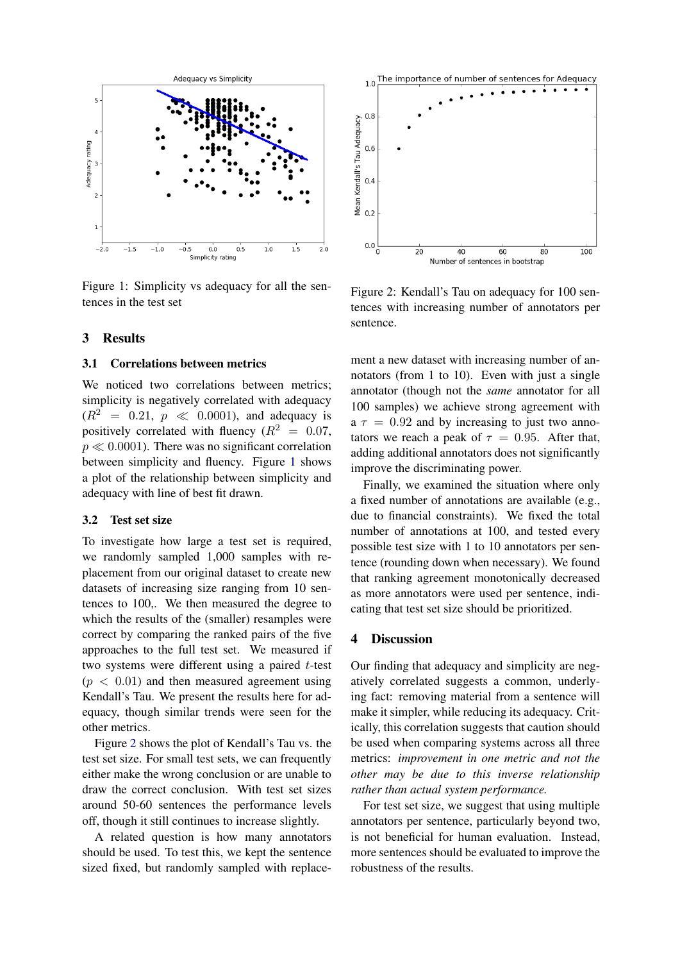

<span id="page-1-0"></span>Figure 1: Simplicity vs adequacy for all the sentences in the test set

## 3 Results

#### 3.1 Correlations between metrics

We noticed two correlations between metrics: simplicity is negatively correlated with adequacy  $(R^2 = 0.21, p \ll 0.0001)$ , and adequacy is positively correlated with fluency  $(R^2 = 0.07,$  $p \ll 0.0001$ ). There was no significant correlation between simplicity and fluency. Figure [1](#page-1-0) shows a plot of the relationship between simplicity and adequacy with line of best fit drawn.

## 3.2 Test set size

To investigate how large a test set is required, we randomly sampled 1,000 samples with replacement from our original dataset to create new datasets of increasing size ranging from 10 sentences to 100,. We then measured the degree to which the results of the (smaller) resamples were correct by comparing the ranked pairs of the five approaches to the full test set. We measured if two systems were different using a paired  $t$ -test  $(p < 0.01)$  and then measured agreement using Kendall's Tau. We present the results here for adequacy, though similar trends were seen for the other metrics.

Figure [2](#page-1-1) shows the plot of Kendall's Tau vs. the test set size. For small test sets, we can frequently either make the wrong conclusion or are unable to draw the correct conclusion. With test set sizes around 50-60 sentences the performance levels off, though it still continues to increase slightly.

A related question is how many annotators should be used. To test this, we kept the sentence sized fixed, but randomly sampled with replace-



<span id="page-1-1"></span>Figure 2: Kendall's Tau on adequacy for 100 sentences with increasing number of annotators per sentence.

ment a new dataset with increasing number of annotators (from 1 to 10). Even with just a single annotator (though not the *same* annotator for all 100 samples) we achieve strong agreement with  $a \tau = 0.92$  and by increasing to just two annotators we reach a peak of  $\tau = 0.95$ . After that, adding additional annotators does not significantly improve the discriminating power.

Finally, we examined the situation where only a fixed number of annotations are available (e.g., due to financial constraints). We fixed the total number of annotations at 100, and tested every possible test size with 1 to 10 annotators per sentence (rounding down when necessary). We found that ranking agreement monotonically decreased as more annotators were used per sentence, indicating that test set size should be prioritized.

## 4 Discussion

Our finding that adequacy and simplicity are negatively correlated suggests a common, underlying fact: removing material from a sentence will make it simpler, while reducing its adequacy. Critically, this correlation suggests that caution should be used when comparing systems across all three metrics: *improvement in one metric and not the other may be due to this inverse relationship rather than actual system performance.*

For test set size, we suggest that using multiple annotators per sentence, particularly beyond two, is not beneficial for human evaluation. Instead, more sentences should be evaluated to improve the robustness of the results.